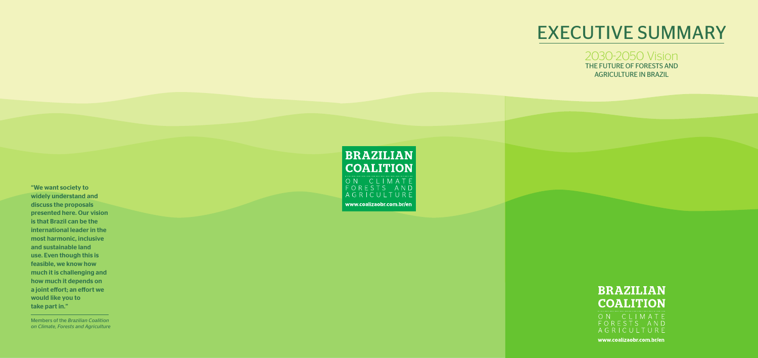# EXECUTIVE SUMMARY

# 2030-2050 Vision THE FUTURE OF FORESTS AND AGRICULTURE IN BRAZIL





www.coalizaobr.com.br/en



"We want society to widely understand and discuss the proposals presented here. Our vision is that Brazil can be the international leader in the most harmonic, inclusive and sustainable land use. Even though this is feasible, we know how much it is challenging and how much it depends on a joint effort; an effort we would like you to take part in."

Members of the *Brazilian Coalition on Climate, Forests and Agriculture*